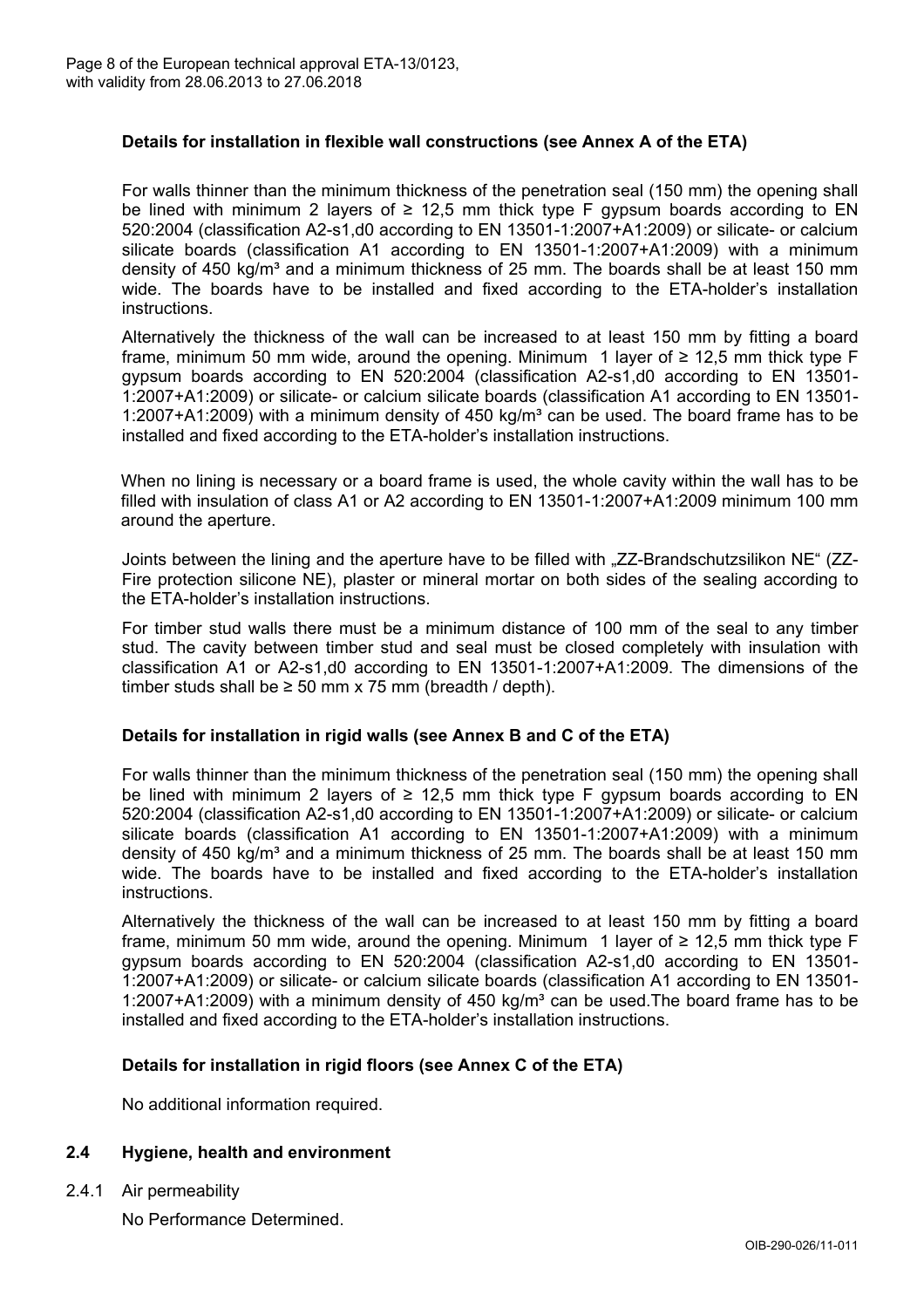

# **Details for installation in flexible wall constructions (see Annex A of the ETA)**

For walls thinner than the minimum thickness of the penetration seal (150 mm) the opening shall be lined with minimum 2 layers of  $\geq 12.5$  mm thick type F gypsum boards according to EN 520:2004 (classification A2-s1,d0 according to EN 13501-1:2007+A1:2009) or silicate- or calcium silicate boards (classification A1 according to EN 13501-1:2007+A1:2009) with a minimum density of 450 kg/m $3$  and a minimum thickness of 25 mm. The boards shall be at least 150 mm wide. The boards have to be installed and fixed according to the ETA-holder's installation instructions.

Alternatively the thickness of the wall can be increased to at least 150 mm by fitting a board frame, minimum 50 mm wide, around the opening. Minimum 1 layer of  $\geq 12.5$  mm thick type F gypsum boards according to EN 520:2004 (classification A2-s1,d0 according to EN 13501- 1:2007+A1:2009) or silicate- or calcium silicate boards (classification A1 according to EN 13501- 1:2007+A1:2009) with a minimum density of 450 kg/m<sup>3</sup> can be used. The board frame has to be installed and fixed according to the ETA-holder's installation instructions.

When no lining is necessary or a board frame is used, the whole cavity within the wall has to be filled with insulation of class A1 or A2 according to EN 13501-1:2007+A1:2009 minimum 100 mm around the aperture.

Joints between the lining and the aperture have to be filled with "ZZ-Brandschutzsilikon NE" (ZZ-Fire protection silicone NE), plaster or mineral mortar on both sides of the sealing according to the ETA-holder's installation instructions.

For timber stud walls there must be a minimum distance of 100 mm of the seal to any timber stud. The cavity between timber stud and seal must be closed completely with insulation with classification A1 or A2-s1,d0 according to EN 13501-1:2007+A1:2009. The dimensions of the timber studs shall be  $\geq$  50 mm x 75 mm (breadth / depth).

#### **Details for installation in rigid walls (see Annex B and C of the ETA)**

For walls thinner than the minimum thickness of the penetration seal (150 mm) the opening shall be lined with minimum 2 layers of  $\geq 12.5$  mm thick type F gypsum boards according to EN 520:2004 (classification A2-s1,d0 according to EN 13501-1:2007+A1:2009) or silicate- or calcium silicate boards (classification A1 according to EN 13501-1:2007+A1:2009) with a minimum density of 450 kg/m<sup>3</sup> and a minimum thickness of 25 mm. The boards shall be at least 150 mm wide. The boards have to be installed and fixed according to the ETA-holder's installation instructions.

Alternatively the thickness of the wall can be increased to at least 150 mm by fitting a board frame, minimum 50 mm wide, around the opening. Minimum 1 layer of  $\geq 12.5$  mm thick type F gypsum boards according to EN 520:2004 (classification A2-s1,d0 according to EN 13501- 1:2007+A1:2009) or silicate- or calcium silicate boards (classification A1 according to EN 13501- 1:2007+A1:2009) with a minimum density of 450 kg/m<sup>3</sup> can be used. The board frame has to be installed and fixed according to the ETA-holder's installation instructions.

#### **Details for installation in rigid floors (see Annex C of the ETA)**

No additional information required.

# **2.4 Hygiene, health and environment**

2.4.1 Air permeability

No Performance Determined.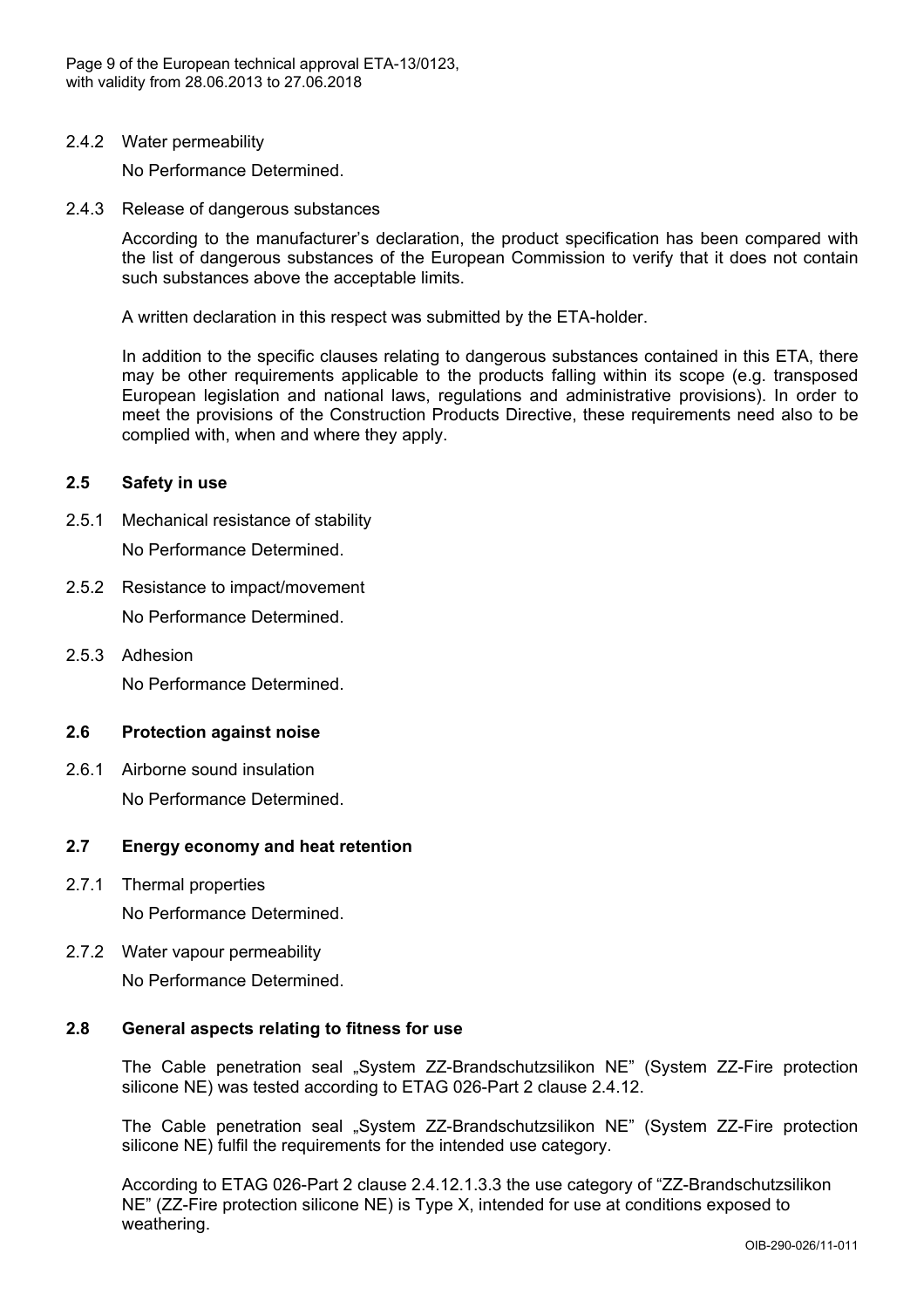

2.4.2 Water permeability

No Performance Determined.

2.4.3 Release of dangerous substances

According to the manufacturer's declaration, the product specification has been compared with the list of dangerous substances of the European Commission to verify that it does not contain such substances above the acceptable limits.

A written declaration in this respect was submitted by the ETA-holder.

In addition to the specific clauses relating to dangerous substances contained in this ETA, there may be other requirements applicable to the products falling within its scope (e.g. transposed European legislation and national laws, regulations and administrative provisions). In order to meet the provisions of the Construction Products Directive, these requirements need also to be complied with, when and where they apply.

### **2.5 Safety in use**

- 2.5.1 Mechanical resistance of stability No Performance Determined.
- 2.5.2 Resistance to impact/movement No Performance Determined.
- 2.5.3 Adhesion No Performance Determined.

# **2.6 Protection against noise**

2.6.1 Airborne sound insulation No Performance Determined.

# **2.7 Energy economy and heat retention**

2.7.1 Thermal properties

No Performance Determined.

2.7.2 Water vapour permeability

No Performance Determined.

### **2.8 General aspects relating to fitness for use**

The Cable penetration seal "System ZZ-Brandschutzsilikon NE" (System ZZ-Fire protection silicone NE) was tested according to ETAG 026-Part 2 clause 2.4.12.

The Cable penetration seal "System ZZ-Brandschutzsilikon NE" (System ZZ-Fire protection silicone NE) fulfil the requirements for the intended use category.

According to ETAG 026-Part 2 clause 2.4.12.1.3.3 the use category of "ZZ-Brandschutzsilikon NE" (ZZ-Fire protection silicone NE) is Type X, intended for use at conditions exposed to weathering.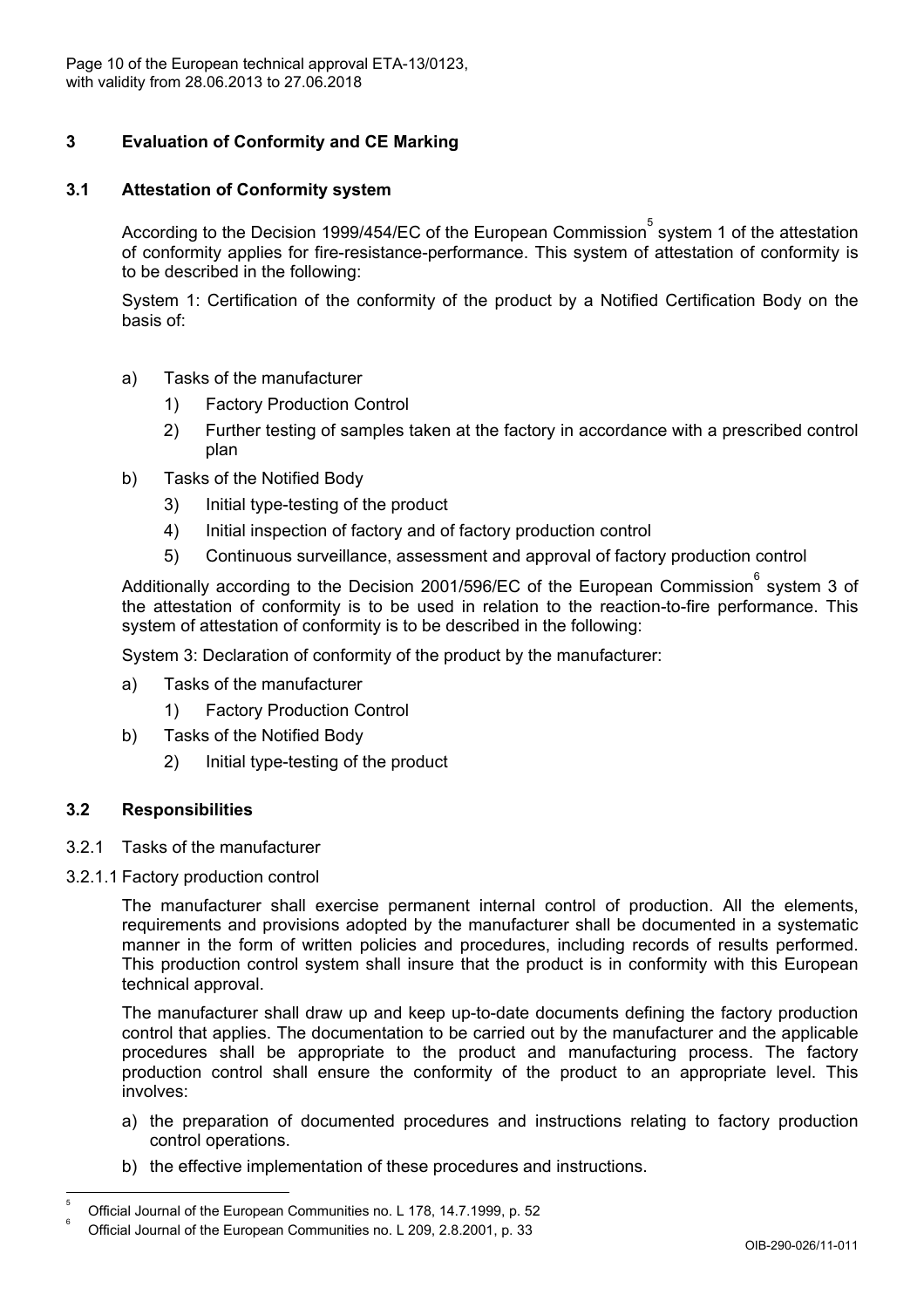

# **3 Evaluation of Conformity and CE Marking**

# **3.1 Attestation of Conformity system**

According to the Decision 1999/454/EC of the European Commission $\mathring{\text{S}}$  system 1 of the attestation of conformity applies for fire-resistance-performance. This system of attestation of conformity is to be described in the following:

System 1: Certification of the conformity of the product by a Notified Certification Body on the basis of:

- a) Tasks of the manufacturer
	- 1) Factory Production Control
	- 2) Further testing of samples taken at the factory in accordance with a prescribed control plan
- b) Tasks of the Notified Body
	- 3) Initial type-testing of the product
	- 4) Initial inspection of factory and of factory production control
	- 5) Continuous surveillance, assessment and approval of factory production control

Additionally according to the Decision 2001/596/EC of the European Commission  $\degree$  system 3 of the attestation of conformity is to be used in relation to the reaction-to-fire performance. This system of attestation of conformity is to be described in the following:

System 3: Declaration of conformity of the product by the manufacturer:

- a) Tasks of the manufacturer
	- 1) Factory Production Control
- b) Tasks of the Notified Body
	- 2) Initial type-testing of the product

# **3.2 Responsibilities**

- 3.2.1 Tasks of the manufacturer
- 3.2.1.1 Factory production control

The manufacturer shall exercise permanent internal control of production. All the elements, requirements and provisions adopted by the manufacturer shall be documented in a systematic manner in the form of written policies and procedures, including records of results performed. This production control system shall insure that the product is in conformity with this European technical approval.

The manufacturer shall draw up and keep up-to-date documents defining the factory production control that applies. The documentation to be carried out by the manufacturer and the applicable procedures shall be appropriate to the product and manufacturing process. The factory production control shall ensure the conformity of the product to an appropriate level. This involves:

- a) the preparation of documented procedures and instructions relating to factory production control operations.
- b) the effective implementation of these procedures and instructions.

 5 Official Journal of the European Communities no. L 178, 14.7.1999, p. 52

Official Journal of the European Communities no. L 209, 2.8.2001, p. 33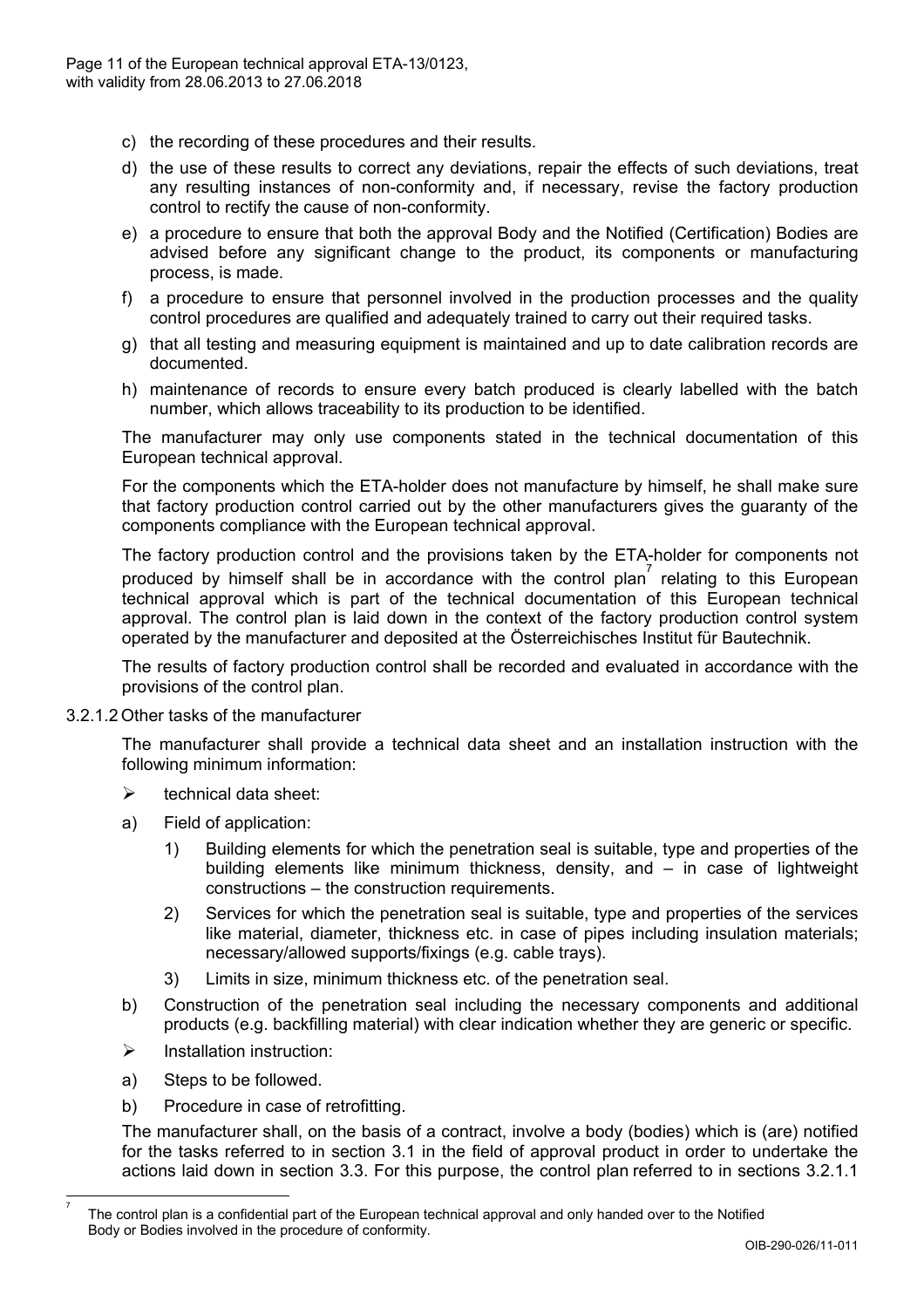

- c) the recording of these procedures and their results.
- d) the use of these results to correct any deviations, repair the effects of such deviations, treat any resulting instances of non-conformity and, if necessary, revise the factory production control to rectify the cause of non-conformity.
- e) a procedure to ensure that both the approval Body and the Notified (Certification) Bodies are advised before any significant change to the product, its components or manufacturing process, is made.
- f) a procedure to ensure that personnel involved in the production processes and the quality control procedures are qualified and adequately trained to carry out their required tasks.
- g) that all testing and measuring equipment is maintained and up to date calibration records are documented.
- h) maintenance of records to ensure every batch produced is clearly labelled with the batch number, which allows traceability to its production to be identified.

The manufacturer may only use components stated in the technical documentation of this European technical approval.

For the components which the ETA-holder does not manufacture by himself, he shall make sure that factory production control carried out by the other manufacturers gives the guaranty of the components compliance with the European technical approval.

The factory production control and the provisions taken by the ETA-holder for components not produced by himself shall be in accordance with the control plan<sup>7</sup> relating to this European technical approval which is part of the technical documentation of this European technical approval. The control plan is laid down in the context of the factory production control system operated by the manufacturer and deposited at the Österreichisches Institut für Bautechnik.

The results of factory production control shall be recorded and evaluated in accordance with the provisions of the control plan.

3.2.1.2 Other tasks of the manufacturer

The manufacturer shall provide a technical data sheet and an installation instruction with the following minimum information:

- $\triangleright$  technical data sheet:
- a) Field of application:
	- 1) Building elements for which the penetration seal is suitable, type and properties of the building elements like minimum thickness, density, and – in case of lightweight constructions – the construction requirements.
	- 2) Services for which the penetration seal is suitable, type and properties of the services like material, diameter, thickness etc. in case of pipes including insulation materials; necessary/allowed supports/fixings (e.g. cable trays).
	- 3) Limits in size, minimum thickness etc. of the penetration seal.
- b) Construction of the penetration seal including the necessary components and additional products (e.g. backfilling material) with clear indication whether they are generic or specific.
- $\triangleright$  Installation instruction:
- a) Steps to be followed.

 $\overline{a}$ 7 b) Procedure in case of retrofitting.

The manufacturer shall, on the basis of a contract, involve a body (bodies) which is (are) notified for the tasks referred to in section 3.1 in the field of approval product in order to undertake the actions laid down in section 3.3. For this purpose, the control plan referred to in sections 3.2.1.1

The control plan is a confidential part of the European technical approval and only handed over to the Notified Body or Bodies involved in the procedure of conformity.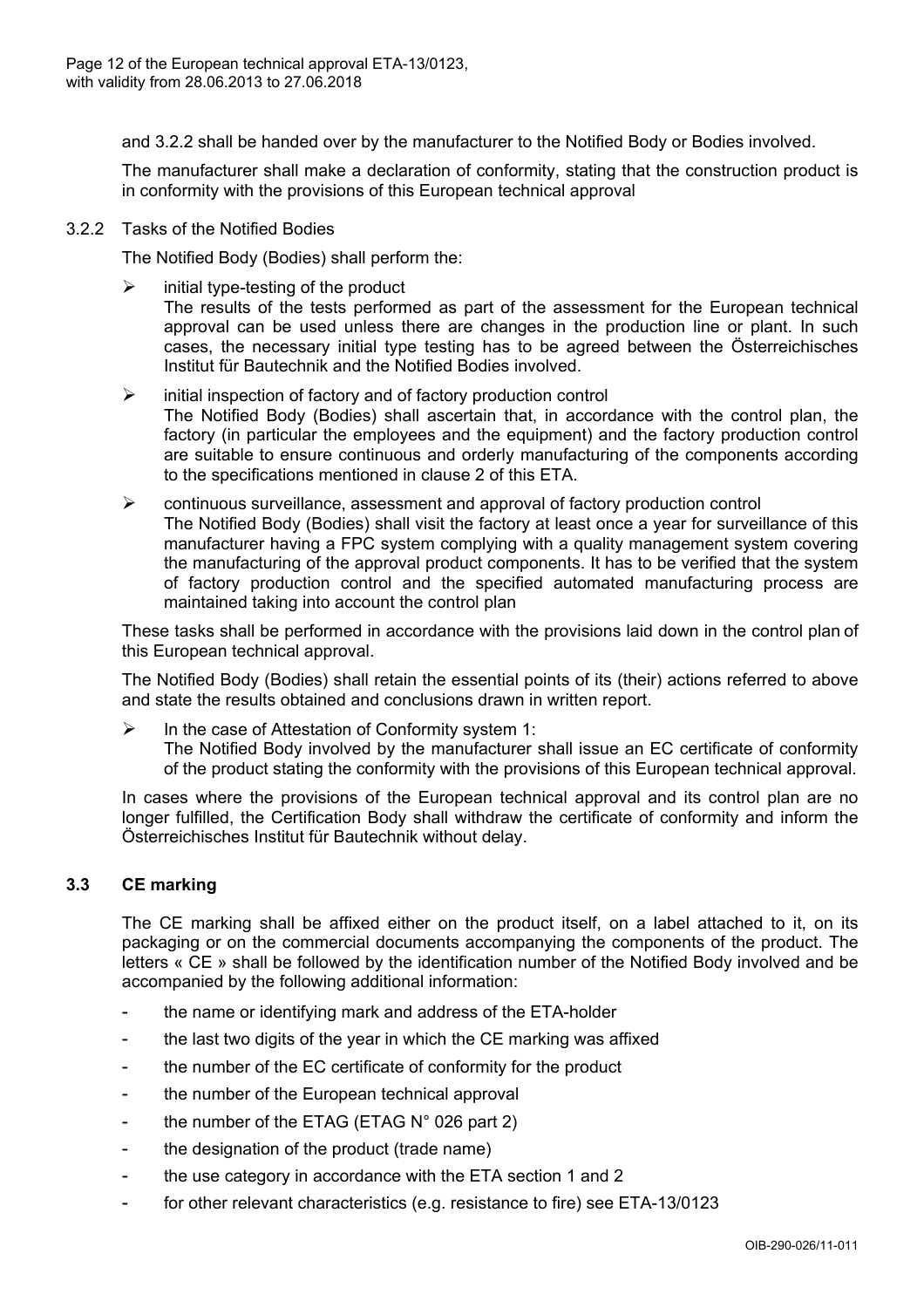

and 3.2.2 shall be handed over by the manufacturer to the Notified Body or Bodies involved.

The manufacturer shall make a declaration of conformity, stating that the construction product is in conformity with the provisions of this European technical approval

### 3.2.2 Tasks of the Notified Bodies

The Notified Body (Bodies) shall perform the:

- $\triangleright$  initial type-testing of the product The results of the tests performed as part of the assessment for the European technical approval can be used unless there are changes in the production line or plant. In such cases, the necessary initial type testing has to be agreed between the Österreichisches Institut für Bautechnik and the Notified Bodies involved.
- $\triangleright$  initial inspection of factory and of factory production control The Notified Body (Bodies) shall ascertain that, in accordance with the control plan, the factory (in particular the employees and the equipment) and the factory production control are suitable to ensure continuous and orderly manufacturing of the components according to the specifications mentioned in clause 2 of this ETA.
- $\triangleright$  continuous surveillance, assessment and approval of factory production control The Notified Body (Bodies) shall visit the factory at least once a year for surveillance of this manufacturer having a FPC system complying with a quality management system covering the manufacturing of the approval product components. It has to be verified that the system of factory production control and the specified automated manufacturing process are maintained taking into account the control plan

These tasks shall be performed in accordance with the provisions laid down in the control plan of this European technical approval.

The Notified Body (Bodies) shall retain the essential points of its (their) actions referred to above and state the results obtained and conclusions drawn in written report.

 $\triangleright$  In the case of Attestation of Conformity system 1: The Notified Body involved by the manufacturer shall issue an EC certificate of conformity of the product stating the conformity with the provisions of this European technical approval.

In cases where the provisions of the European technical approval and its control plan are no longer fulfilled, the Certification Body shall withdraw the certificate of conformity and inform the Österreichisches Institut für Bautechnik without delay.

# **3.3 CE marking**

The CE marking shall be affixed either on the product itself, on a label attached to it, on its packaging or on the commercial documents accompanying the components of the product. The letters « CE » shall be followed by the identification number of the Notified Body involved and be accompanied by the following additional information:

- the name or identifying mark and address of the ETA-holder
- the last two digits of the year in which the CE marking was affixed
- the number of the EC certificate of conformity for the product
- the number of the European technical approval
- the number of the ETAG (ETAG N° 026 part 2)
- the designation of the product (trade name)
- the use category in accordance with the ETA section 1 and 2
- for other relevant characteristics (e.g. resistance to fire) see ETA-13/0123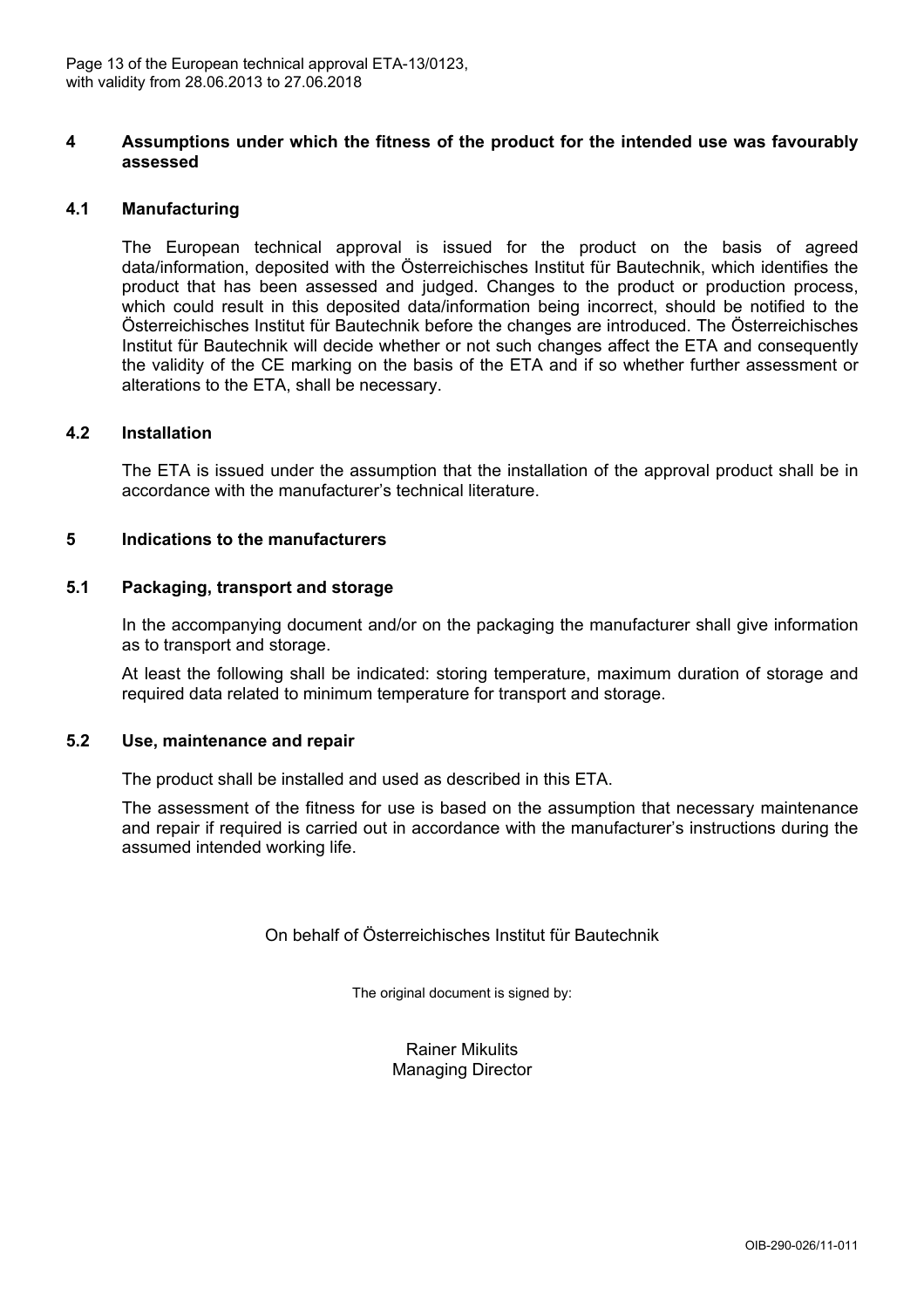

### **4 Assumptions under which the fitness of the product for the intended use was favourably assessed**

### **4.1 Manufacturing**

The European technical approval is issued for the product on the basis of agreed data/information, deposited with the Österreichisches Institut für Bautechnik, which identifies the product that has been assessed and judged. Changes to the product or production process, which could result in this deposited data/information being incorrect, should be notified to the Österreichisches Institut für Bautechnik before the changes are introduced. The Österreichisches Institut für Bautechnik will decide whether or not such changes affect the ETA and consequently the validity of the CE marking on the basis of the ETA and if so whether further assessment or alterations to the ETA, shall be necessary.

#### **4.2 Installation**

The ETA is issued under the assumption that the installation of the approval product shall be in accordance with the manufacturer's technical literature.

#### **5 Indications to the manufacturers**

#### **5.1 Packaging, transport and storage**

In the accompanying document and/or on the packaging the manufacturer shall give information as to transport and storage.

At least the following shall be indicated: storing temperature, maximum duration of storage and required data related to minimum temperature for transport and storage.

#### **5.2 Use, maintenance and repair**

The product shall be installed and used as described in this ETA.

The assessment of the fitness for use is based on the assumption that necessary maintenance and repair if required is carried out in accordance with the manufacturer's instructions during the assumed intended working life.

On behalf of Österreichisches Institut für Bautechnik

The original document is signed by:

Rainer Mikulits Managing Director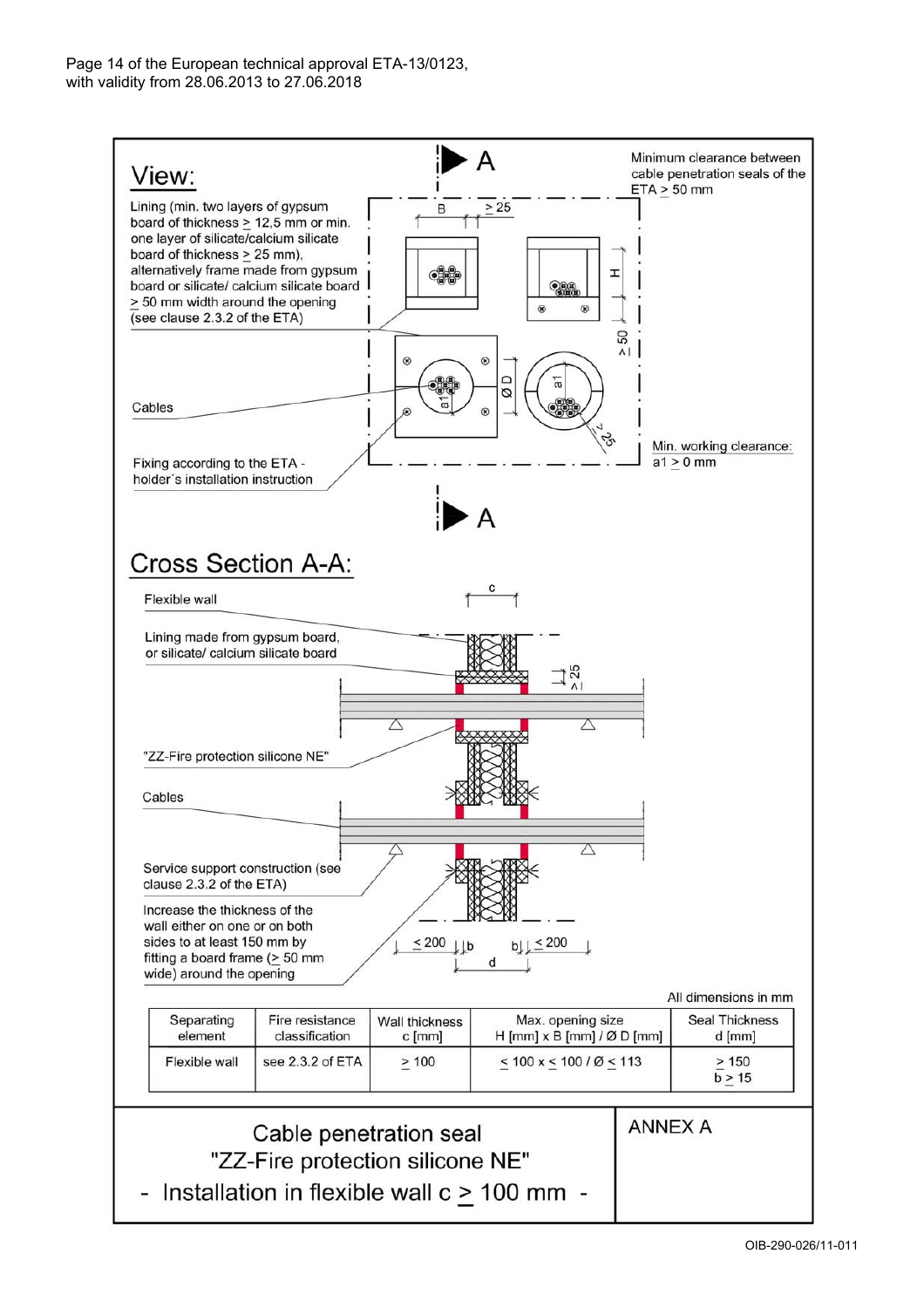

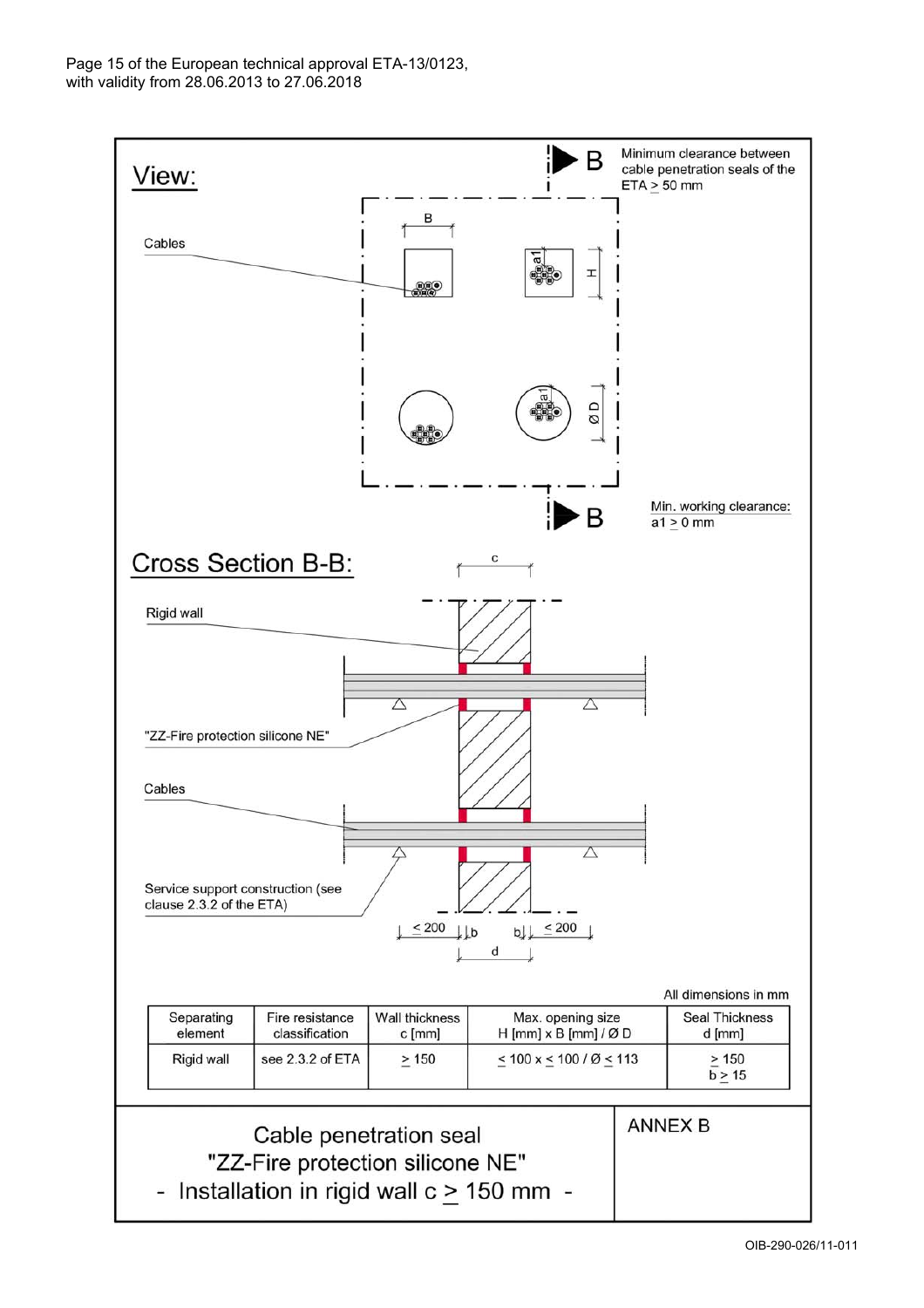

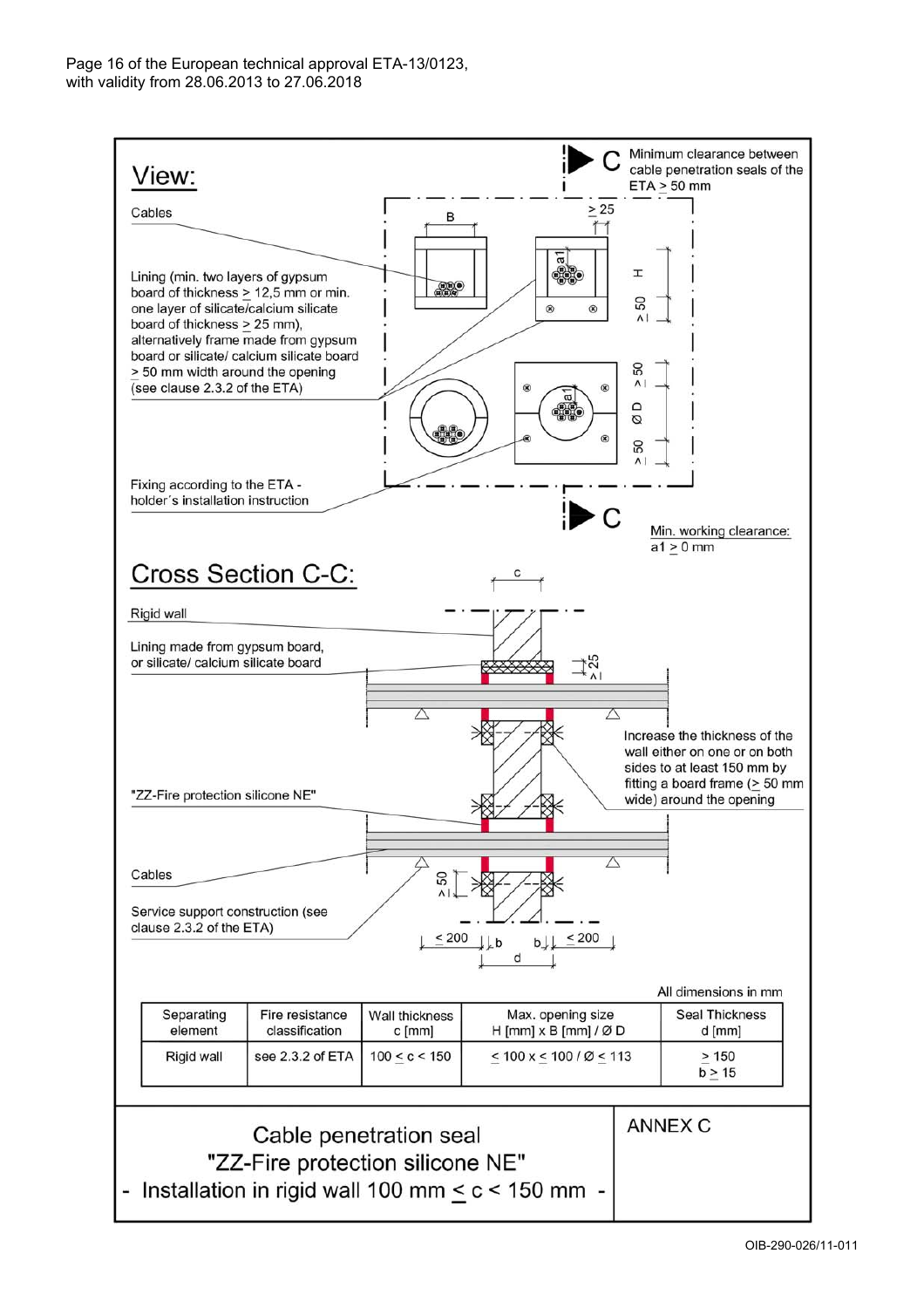